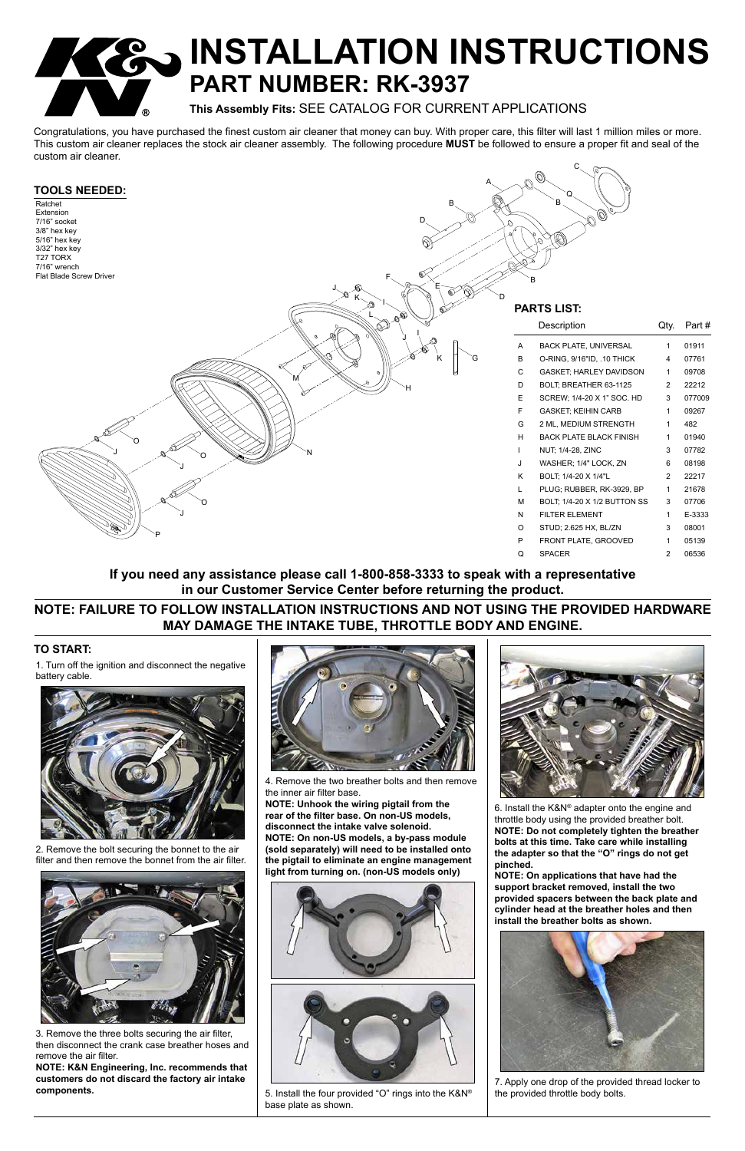# **PO INSTALLATION INSTRUCTIONS PART NUMBER: RK-3937**

**This Assembly Fits:** SEE CATALOG FOR CURRENT APPLICATIONS

Congratulations, you have purchased the finest custom air cleaner that money can buy. With proper care, this filter will last 1 million miles or more. This custom air cleaner replaces the stock air cleaner assembly. The following procedure **MUST** be followed to ensure a proper fit and seal of the custom air cleaner.

#### **TO START:**

1. Turn off the ignition and disconnect the negative battery cable.



2. Remove the bolt securing the bonnet to the air filter and then remove the bonnet from the air filter.



3. Remove the three bolts securing the air filter, then disconnect the crank case breather hoses and remove the air filter.

**NOTE: K&N Engineering, Inc. recommends that customers do not discard the factory air intake components.**





#### **TOOLS NEEDED:** Ratchet Extension 7/16" socket 3/8" hex key 5/16" hex key 3/32" hex key T27 TORX 7/16" wrench Flat Blade Screw Driver Description Qty. Part # A BACK PLATE, UNIVERSAL 1 01911 B O-RING, 9/16"ID, .10 THICK 4 07761 C GASKET; HARLEY DAVIDSON 1 09708 D BOLT; BREATHER 63-1125 2 22212 E SCREW; 1/4-20 X 1" SOC. HD 3 077009 F GASKET; KEIHIN CARB 1 09267 G 2 ML, MEDIUM STRENGTH 1 482 H BACK PLATE BLACK FINISH 1 01940 NUT; 1/4-28, ZINC 3 07782 J WASHER; 1/4" LOCK, ZN 6 08198 K BOLT; 1/4-20 X 1/4"L 2 22217 L PLUG; RUBBER, RK-3929, BP 1 21678 M BOLT; 1/4-20 X 1/2 BUTTON SS 3 07706 N FILTER ELEMENT 1 E-3333 O STUD; 2.625 HX, BL/ZN 3 08001 P FRONT PLATE, GROOVED 1 05139 Q SPACER 2 06536 **PARTS LIST:** E M I I A B D F G H N P O J J  $J$   $\alpha^{a}$  0 O B D B Q K K J J L



4. Remove the two breather bolts and then remove the inner air filter base.

**NOTE: Unhook the wiring pigtail from the rear of the filter base. On non-US models, disconnect the intake valve solenoid. NOTE: On non-US models, a by-pass module (sold separately) will need to be installed onto the pigtail to eliminate an engine management light from turning on. (non-US models only)**



5. Install the four provided "O" rings into the K&N® base plate as shown.

6. Install the K&N® adapter onto the engine and throttle body using the provided breather bolt. **NOTE: Do not completely tighten the breather bolts at this time. Take care while installing** 

**the adapter so that the "O" rings do not get pinched.**

**NOTE: On applications that have had the support bracket removed, install the two provided spacers between the back plate and cylinder head at the breather holes and then install the breather bolts as shown.**



7. Apply one drop of the provided thread locker to the provided throttle body bolts.

C

### **NOTE: FAILURE TO FOLLOW INSTALLATION INSTRUCTIONS AND NOT USING THE PROVIDED HARDWARE MAY DAMAGE THE INTAKE TUBE, THROTTLE BODY AND ENGINE.**

### **If you need any assistance please call 1-800-858-3333 to speak with a representative in our Customer Service Center before returning the product.**